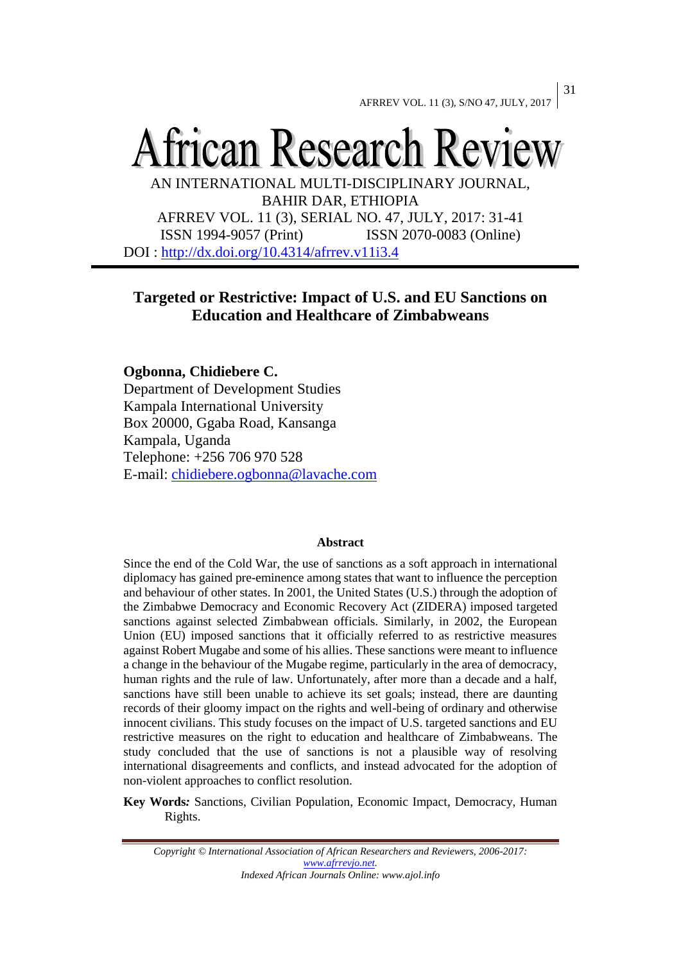# African Research Review

AN INTERNATIONAL MULTI-DISCIPLINARY JOURNAL, BAHIR DAR, ETHIOPIA

AFRREV VOL. 11 (3), SERIAL NO. 47, JULY, 2017: 31-41 ISSN 1994-9057 (Print) ISSN 2070-0083 (Online) DOI :<http://dx.doi.org/10.4314/afrrev.v11i3.4>

## **Targeted or Restrictive: Impact of U.S. and EU Sanctions on Education and Healthcare of Zimbabweans**

## **Ogbonna, Chidiebere C.**

Department of Development Studies Kampala International University Box 20000, Ggaba Road, Kansanga Kampala, Uganda Telephone: +256 706 970 528 E-mail: [chidiebere.ogbonna@lavache.com](mailto:chidiebere.ogbonna@lavache.com)

#### **Abstract**

Since the end of the Cold War, the use of sanctions as a soft approach in international diplomacy has gained pre-eminence among states that want to influence the perception and behaviour of other states. In 2001, the United States (U.S.) through the adoption of the Zimbabwe Democracy and Economic Recovery Act (ZIDERA) imposed targeted sanctions against selected Zimbabwean officials. Similarly, in 2002, the European Union (EU) imposed sanctions that it officially referred to as restrictive measures against Robert Mugabe and some of his allies. These sanctions were meant to influence a change in the behaviour of the Mugabe regime, particularly in the area of democracy, human rights and the rule of law. Unfortunately, after more than a decade and a half, sanctions have still been unable to achieve its set goals; instead, there are daunting records of their gloomy impact on the rights and well-being of ordinary and otherwise innocent civilians. This study focuses on the impact of U.S. targeted sanctions and EU restrictive measures on the right to education and healthcare of Zimbabweans. The study concluded that the use of sanctions is not a plausible way of resolving international disagreements and conflicts, and instead advocated for the adoption of non-violent approaches to conflict resolution.

**Key Words***:* Sanctions, Civilian Population, Economic Impact, Democracy, Human Rights.

*Copyright © International Association of African Researchers and Reviewers, 2006-2017: [www.afrrevjo.net.](http://www.afrrevjo.net/) Indexed African Journals Online: www.ajol.info*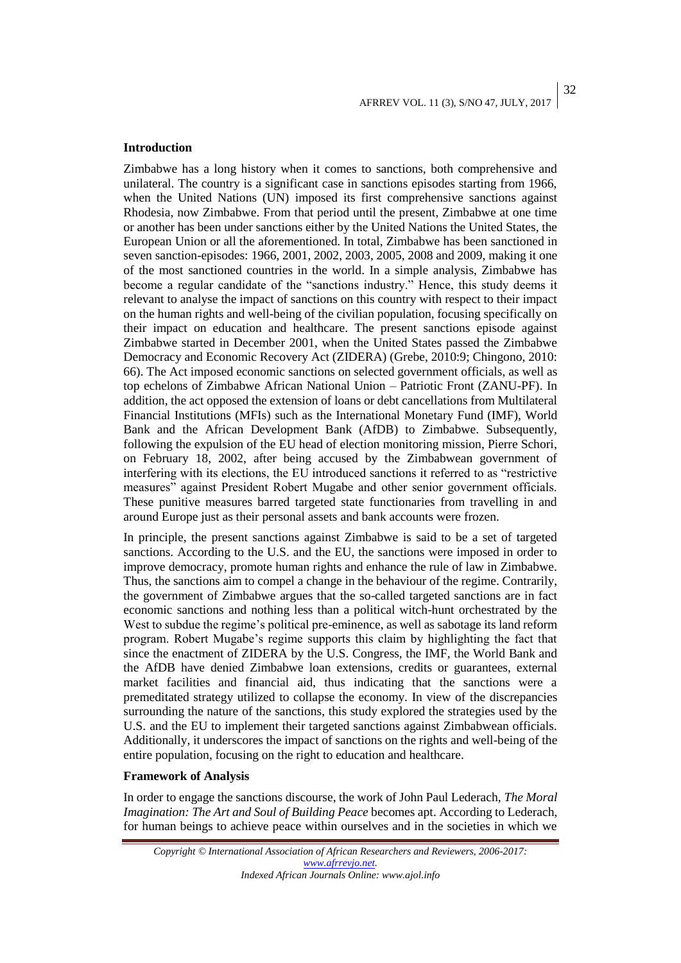## **Introduction**

Zimbabwe has a long history when it comes to sanctions, both comprehensive and unilateral. The country is a significant case in sanctions episodes starting from 1966, when the United Nations (UN) imposed its first comprehensive sanctions against Rhodesia, now Zimbabwe. From that period until the present, Zimbabwe at one time or another has been under sanctions either by the United Nations the United States, the European Union or all the aforementioned. In total, Zimbabwe has been sanctioned in seven sanction-episodes: 1966, 2001, 2002, 2003, 2005, 2008 and 2009, making it one of the most sanctioned countries in the world. In a simple analysis, Zimbabwe has become a regular candidate of the "sanctions industry." Hence, this study deems it relevant to analyse the impact of sanctions on this country with respect to their impact on the human rights and well-being of the civilian population, focusing specifically on their impact on education and healthcare. The present sanctions episode against Zimbabwe started in December 2001, when the United States passed the Zimbabwe Democracy and Economic Recovery Act (ZIDERA) (Grebe, 2010:9; Chingono, 2010: 66). The Act imposed economic sanctions on selected government officials, as well as top echelons of Zimbabwe African National Union – Patriotic Front (ZANU-PF). In addition, the act opposed the extension of loans or debt cancellations from Multilateral Financial Institutions (MFIs) such as the International Monetary Fund (IMF), World Bank and the African Development Bank (AfDB) to Zimbabwe. Subsequently, following the expulsion of the EU head of election monitoring mission, Pierre Schori, on February 18, 2002, after being accused by the Zimbabwean government of interfering with its elections, the EU introduced sanctions it referred to as "restrictive measures" against President Robert Mugabe and other senior government officials. These punitive measures barred targeted state functionaries from travelling in and around Europe just as their personal assets and bank accounts were frozen.

In principle, the present sanctions against Zimbabwe is said to be a set of targeted sanctions. According to the U.S. and the EU, the sanctions were imposed in order to improve democracy, promote human rights and enhance the rule of law in Zimbabwe. Thus, the sanctions aim to compel a change in the behaviour of the regime. Contrarily, the government of Zimbabwe argues that the so-called targeted sanctions are in fact economic sanctions and nothing less than a political witch-hunt orchestrated by the West to subdue the regime's political pre-eminence, as well as sabotage its land reform program. Robert Mugabe's regime supports this claim by highlighting the fact that since the enactment of ZIDERA by the U.S. Congress, the IMF, the World Bank and the AfDB have denied Zimbabwe loan extensions, credits or guarantees, external market facilities and financial aid, thus indicating that the sanctions were a premeditated strategy utilized to collapse the economy. In view of the discrepancies surrounding the nature of the sanctions, this study explored the strategies used by the U.S. and the EU to implement their targeted sanctions against Zimbabwean officials. Additionally, it underscores the impact of sanctions on the rights and well-being of the entire population, focusing on the right to education and healthcare.

## **Framework of Analysis**

In order to engage the sanctions discourse, the work of John Paul Lederach, *The Moral Imagination: The Art and Soul of Building Peace* becomes apt. According to Lederach, for human beings to achieve peace within ourselves and in the societies in which we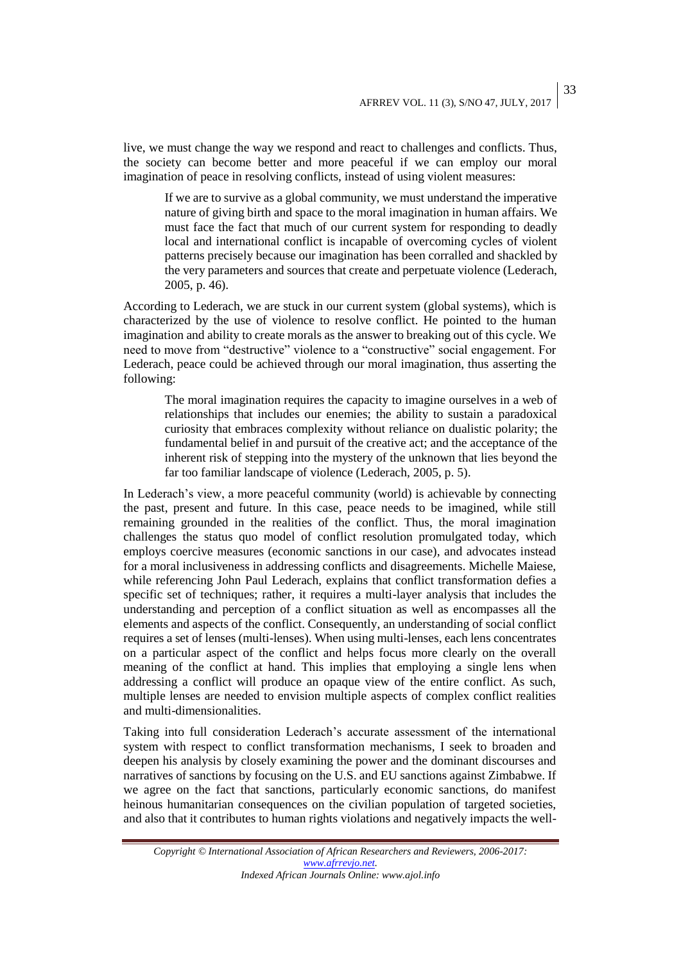live, we must change the way we respond and react to challenges and conflicts. Thus, the society can become better and more peaceful if we can employ our moral imagination of peace in resolving conflicts, instead of using violent measures:

If we are to survive as a global community, we must understand the imperative nature of giving birth and space to the moral imagination in human affairs. We must face the fact that much of our current system for responding to deadly local and international conflict is incapable of overcoming cycles of violent patterns precisely because our imagination has been corralled and shackled by the very parameters and sources that create and perpetuate violence (Lederach, 2005, p. 46).

According to Lederach, we are stuck in our current system (global systems), which is characterized by the use of violence to resolve conflict. He pointed to the human imagination and ability to create morals as the answer to breaking out of this cycle. We need to move from "destructive" violence to a "constructive" social engagement. For Lederach, peace could be achieved through our moral imagination, thus asserting the following:

The moral imagination requires the capacity to imagine ourselves in a web of relationships that includes our enemies; the ability to sustain a paradoxical curiosity that embraces complexity without reliance on dualistic polarity; the fundamental belief in and pursuit of the creative act; and the acceptance of the inherent risk of stepping into the mystery of the unknown that lies beyond the far too familiar landscape of violence (Lederach, 2005, p. 5).

In Lederach's view, a more peaceful community (world) is achievable by connecting the past, present and future. In this case, peace needs to be imagined, while still remaining grounded in the realities of the conflict. Thus, the moral imagination challenges the status quo model of conflict resolution promulgated today, which employs coercive measures (economic sanctions in our case), and advocates instead for a moral inclusiveness in addressing conflicts and disagreements. Michelle Maiese, while referencing John Paul Lederach, explains that conflict transformation defies a specific set of techniques; rather, it requires a multi-layer analysis that includes the understanding and perception of a conflict situation as well as encompasses all the elements and aspects of the conflict. Consequently, an understanding of social conflict requires a set of lenses (multi-lenses). When using multi-lenses, each lens concentrates on a particular aspect of the conflict and helps focus more clearly on the overall meaning of the conflict at hand. This implies that employing a single lens when addressing a conflict will produce an opaque view of the entire conflict. As such, multiple lenses are needed to envision multiple aspects of complex conflict realities and multi-dimensionalities.

Taking into full consideration Lederach's accurate assessment of the international system with respect to conflict transformation mechanisms, I seek to broaden and deepen his analysis by closely examining the power and the dominant discourses and narratives of sanctions by focusing on the U.S. and EU sanctions against Zimbabwe. If we agree on the fact that sanctions, particularly economic sanctions, do manifest heinous humanitarian consequences on the civilian population of targeted societies, and also that it contributes to human rights violations and negatively impacts the well-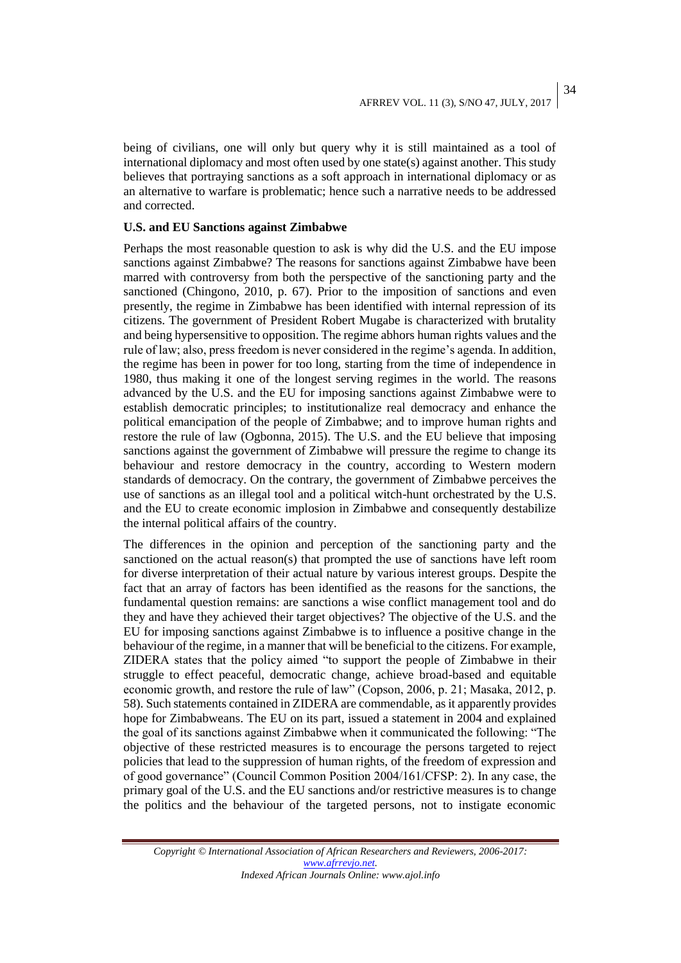34

being of civilians, one will only but query why it is still maintained as a tool of international diplomacy and most often used by one state(s) against another. This study believes that portraying sanctions as a soft approach in international diplomacy or as an alternative to warfare is problematic; hence such a narrative needs to be addressed and corrected.

## **U.S. and EU Sanctions against Zimbabwe**

Perhaps the most reasonable question to ask is why did the U.S. and the EU impose sanctions against Zimbabwe? The reasons for sanctions against Zimbabwe have been marred with controversy from both the perspective of the sanctioning party and the sanctioned (Chingono, 2010, p. 67). Prior to the imposition of sanctions and even presently, the regime in Zimbabwe has been identified with internal repression of its citizens. The government of President Robert Mugabe is characterized with brutality and being hypersensitive to opposition. The regime abhors human rights values and the rule of law; also, press freedom is never considered in the regime's agenda. In addition, the regime has been in power for too long, starting from the time of independence in 1980, thus making it one of the longest serving regimes in the world. The reasons advanced by the U.S. and the EU for imposing sanctions against Zimbabwe were to establish democratic principles; to institutionalize real democracy and enhance the political emancipation of the people of Zimbabwe; and to improve human rights and restore the rule of law (Ogbonna, 2015). The U.S. and the EU believe that imposing sanctions against the government of Zimbabwe will pressure the regime to change its behaviour and restore democracy in the country, according to Western modern standards of democracy. On the contrary, the government of Zimbabwe perceives the use of sanctions as an illegal tool and a political witch-hunt orchestrated by the U.S. and the EU to create economic implosion in Zimbabwe and consequently destabilize the internal political affairs of the country.

The differences in the opinion and perception of the sanctioning party and the sanctioned on the actual reason(s) that prompted the use of sanctions have left room for diverse interpretation of their actual nature by various interest groups. Despite the fact that an array of factors has been identified as the reasons for the sanctions, the fundamental question remains: are sanctions a wise conflict management tool and do they and have they achieved their target objectives? The objective of the U.S. and the EU for imposing sanctions against Zimbabwe is to influence a positive change in the behaviour of the regime, in a manner that will be beneficial to the citizens. For example, ZIDERA states that the policy aimed "to support the people of Zimbabwe in their struggle to effect peaceful, democratic change, achieve broad-based and equitable economic growth, and restore the rule of law" (Copson, 2006, p. 21; Masaka, 2012, p. 58). Such statements contained in ZIDERA are commendable, as it apparently provides hope for Zimbabweans. The EU on its part, issued a statement in 2004 and explained the goal of its sanctions against Zimbabwe when it communicated the following: "The objective of these restricted measures is to encourage the persons targeted to reject policies that lead to the suppression of human rights, of the freedom of expression and of good governance" (Council Common Position 2004/161/CFSP: 2). In any case, the primary goal of the U.S. and the EU sanctions and/or restrictive measures is to change the politics and the behaviour of the targeted persons, not to instigate economic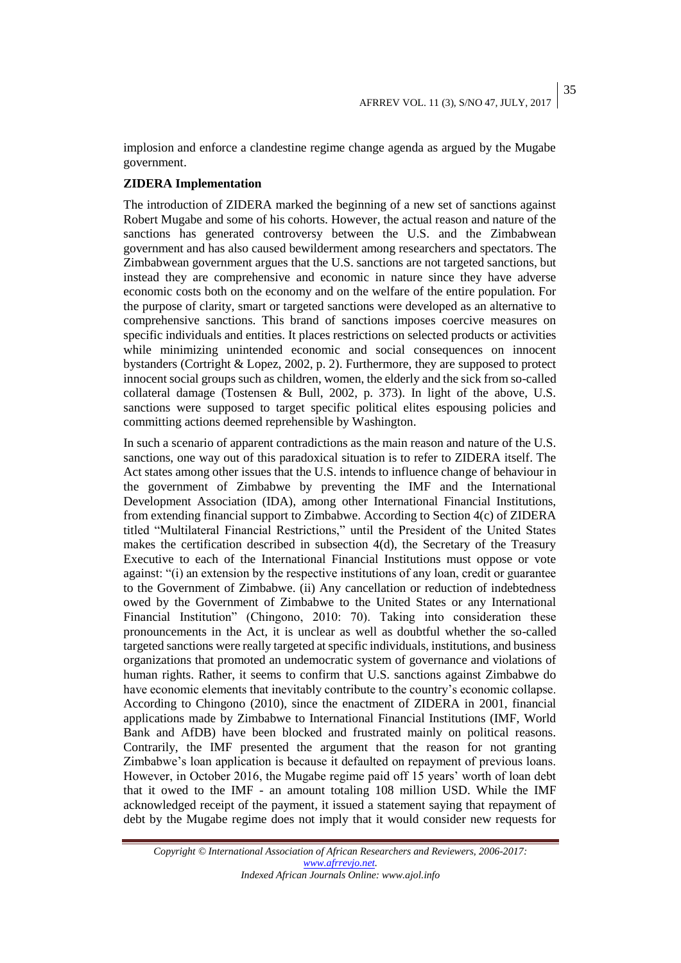35

implosion and enforce a clandestine regime change agenda as argued by the Mugabe government.

## **ZIDERA Implementation**

The introduction of ZIDERA marked the beginning of a new set of sanctions against Robert Mugabe and some of his cohorts. However, the actual reason and nature of the sanctions has generated controversy between the U.S. and the Zimbabwean government and has also caused bewilderment among researchers and spectators. The Zimbabwean government argues that the U.S. sanctions are not targeted sanctions, but instead they are comprehensive and economic in nature since they have adverse economic costs both on the economy and on the welfare of the entire population. For the purpose of clarity, smart or targeted sanctions were developed as an alternative to comprehensive sanctions. This brand of sanctions imposes coercive measures on specific individuals and entities. It places restrictions on selected products or activities while minimizing unintended economic and social consequences on innocent bystanders (Cortright & Lopez, 2002, p. 2). Furthermore, they are supposed to protect innocent social groups such as children, women, the elderly and the sick from so-called collateral damage (Tostensen & Bull, 2002, p. 373). In light of the above, U.S. sanctions were supposed to target specific political elites espousing policies and committing actions deemed reprehensible by Washington.

In such a scenario of apparent contradictions as the main reason and nature of the U.S. sanctions, one way out of this paradoxical situation is to refer to ZIDERA itself. The Act states among other issues that the U.S. intends to influence change of behaviour in the government of Zimbabwe by preventing the IMF and the International Development Association (IDA), among other International Financial Institutions, from extending financial support to Zimbabwe. According to Section 4(c) of ZIDERA titled "Multilateral Financial Restrictions," until the President of the United States makes the certification described in subsection 4(d), the Secretary of the Treasury Executive to each of the International Financial Institutions must oppose or vote against: "(i) an extension by the respective institutions of any loan, credit or guarantee to the Government of Zimbabwe. (ii) Any cancellation or reduction of indebtedness owed by the Government of Zimbabwe to the United States or any International Financial Institution" (Chingono, 2010: 70). Taking into consideration these pronouncements in the Act, it is unclear as well as doubtful whether the so-called targeted sanctions were really targeted at specific individuals, institutions, and business organizations that promoted an undemocratic system of governance and violations of human rights. Rather, it seems to confirm that U.S. sanctions against Zimbabwe do have economic elements that inevitably contribute to the country's economic collapse. According to Chingono (2010), since the enactment of ZIDERA in 2001, financial applications made by Zimbabwe to International Financial Institutions (IMF, World Bank and AfDB) have been blocked and frustrated mainly on political reasons. Contrarily, the IMF presented the argument that the reason for not granting Zimbabwe's loan application is because it defaulted on repayment of previous loans. However, in October 2016, the Mugabe regime paid off 15 years' worth of loan debt that it owed to the IMF - an amount totaling 108 million USD. While the IMF acknowledged receipt of the payment, it issued a statement saying that repayment of debt by the Mugabe regime does not imply that it would consider new requests for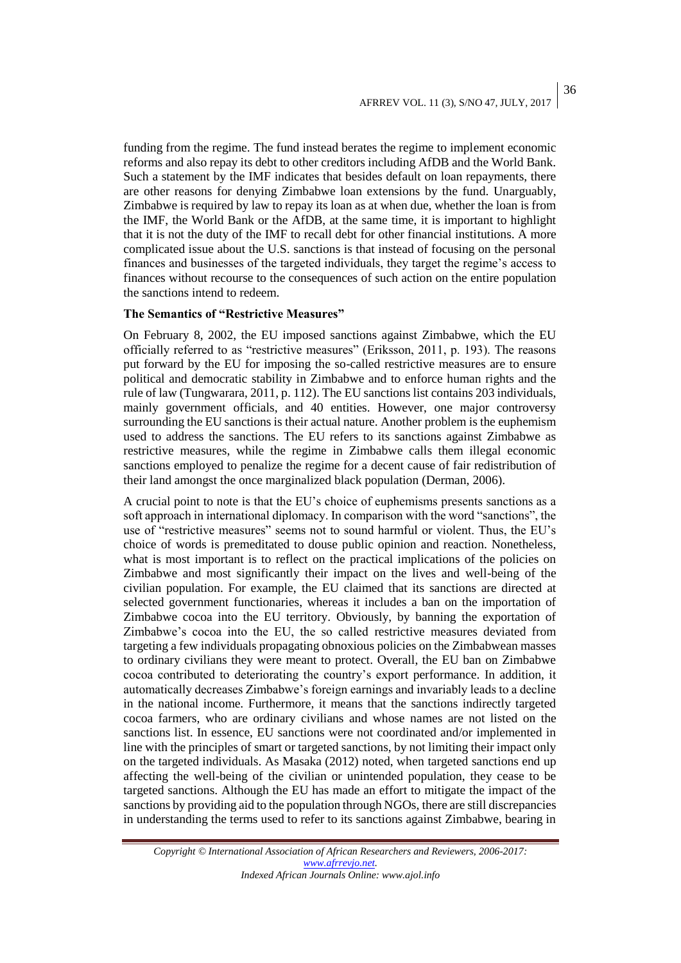## AFRREV VOL. 11 (3), S/NO 47, JULY, 2017

funding from the regime. The fund instead berates the regime to implement economic reforms and also repay its debt to other creditors including AfDB and the World Bank. Such a statement by the IMF indicates that besides default on loan repayments, there are other reasons for denying Zimbabwe loan extensions by the fund. Unarguably, Zimbabwe is required by law to repay its loan as at when due, whether the loan is from the IMF, the World Bank or the AfDB, at the same time, it is important to highlight that it is not the duty of the IMF to recall debt for other financial institutions. A more complicated issue about the U.S. sanctions is that instead of focusing on the personal finances and businesses of the targeted individuals, they target the regime's access to finances without recourse to the consequences of such action on the entire population the sanctions intend to redeem.

### **The Semantics of "Restrictive Measures"**

On February 8, 2002, the EU imposed sanctions against Zimbabwe, which the EU officially referred to as "restrictive measures" (Eriksson, 2011, p. 193). The reasons put forward by the EU for imposing the so-called restrictive measures are to ensure political and democratic stability in Zimbabwe and to enforce human rights and the rule of law (Tungwarara, 2011, p. 112). The EU sanctions list contains 203 individuals, mainly government officials, and 40 entities. However, one major controversy surrounding the EU sanctions is their actual nature. Another problem is the euphemism used to address the sanctions. The EU refers to its sanctions against Zimbabwe as restrictive measures, while the regime in Zimbabwe calls them illegal economic sanctions employed to penalize the regime for a decent cause of fair redistribution of their land amongst the once marginalized black population (Derman, 2006).

A crucial point to note is that the EU's choice of euphemisms presents sanctions as a soft approach in international diplomacy. In comparison with the word "sanctions", the use of "restrictive measures" seems not to sound harmful or violent. Thus, the EU's choice of words is premeditated to douse public opinion and reaction. Nonetheless, what is most important is to reflect on the practical implications of the policies on Zimbabwe and most significantly their impact on the lives and well-being of the civilian population. For example, the EU claimed that its sanctions are directed at selected government functionaries, whereas it includes a ban on the importation of Zimbabwe cocoa into the EU territory. Obviously, by banning the exportation of Zimbabwe's cocoa into the EU, the so called restrictive measures deviated from targeting a few individuals propagating obnoxious policies on the Zimbabwean masses to ordinary civilians they were meant to protect. Overall, the EU ban on Zimbabwe cocoa contributed to deteriorating the country's export performance. In addition, it automatically decreases Zimbabwe's foreign earnings and invariably leads to a decline in the national income. Furthermore, it means that the sanctions indirectly targeted cocoa farmers, who are ordinary civilians and whose names are not listed on the sanctions list. In essence, EU sanctions were not coordinated and/or implemented in line with the principles of smart or targeted sanctions, by not limiting their impact only on the targeted individuals. As Masaka (2012) noted, when targeted sanctions end up affecting the well-being of the civilian or unintended population, they cease to be targeted sanctions. Although the EU has made an effort to mitigate the impact of the sanctions by providing aid to the population through NGOs, there are still discrepancies in understanding the terms used to refer to its sanctions against Zimbabwe, bearing in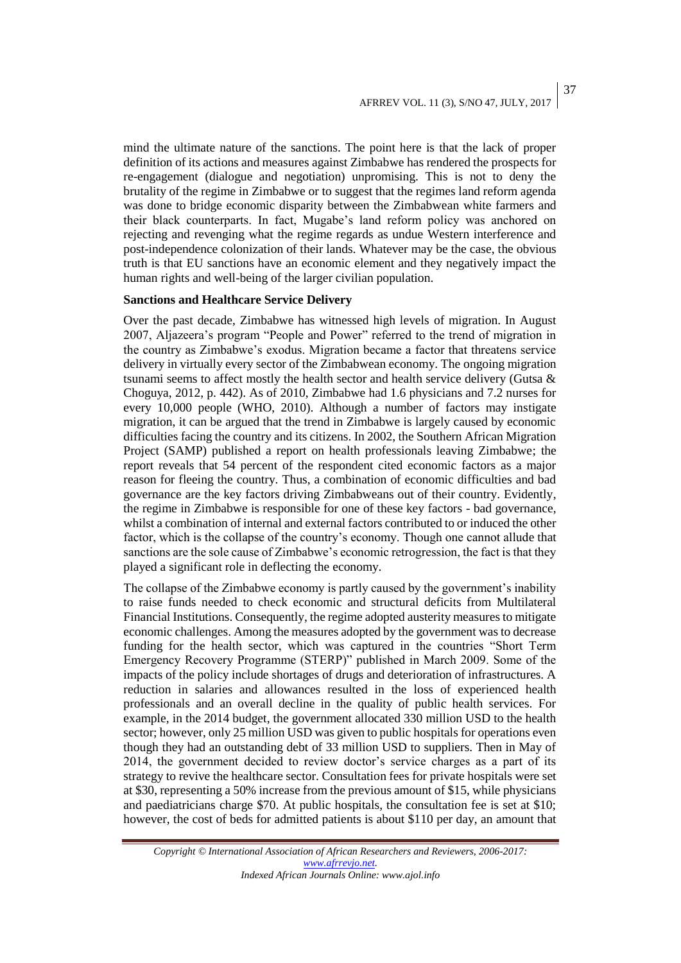#### AFRREV VOL. 11 (3), S/NO 47, JULY, 2017 37

mind the ultimate nature of the sanctions. The point here is that the lack of proper definition of its actions and measures against Zimbabwe has rendered the prospects for re-engagement (dialogue and negotiation) unpromising. This is not to deny the brutality of the regime in Zimbabwe or to suggest that the regimes land reform agenda was done to bridge economic disparity between the Zimbabwean white farmers and their black counterparts. In fact, Mugabe's land reform policy was anchored on rejecting and revenging what the regime regards as undue Western interference and post-independence colonization of their lands. Whatever may be the case, the obvious truth is that EU sanctions have an economic element and they negatively impact the human rights and well-being of the larger civilian population.

### **Sanctions and Healthcare Service Delivery**

Over the past decade, Zimbabwe has witnessed high levels of migration. In August 2007, Aljazeera's program "People and Power" referred to the trend of migration in the country as Zimbabwe's exodus. Migration became a factor that threatens service delivery in virtually every sector of the Zimbabwean economy. The ongoing migration tsunami seems to affect mostly the health sector and health service delivery (Gutsa  $\&$ Choguya, 2012, p. 442). As of 2010, Zimbabwe had 1.6 physicians and 7.2 nurses for every 10,000 people (WHO, 2010). Although a number of factors may instigate migration, it can be argued that the trend in Zimbabwe is largely caused by economic difficulties facing the country and its citizens. In 2002, the Southern African Migration Project (SAMP) published a report on health professionals leaving Zimbabwe; the report reveals that 54 percent of the respondent cited economic factors as a major reason for fleeing the country. Thus, a combination of economic difficulties and bad governance are the key factors driving Zimbabweans out of their country. Evidently, the regime in Zimbabwe is responsible for one of these key factors - bad governance, whilst a combination of internal and external factors contributed to or induced the other factor, which is the collapse of the country's economy. Though one cannot allude that sanctions are the sole cause of Zimbabwe's economic retrogression, the fact is that they played a significant role in deflecting the economy.

The collapse of the Zimbabwe economy is partly caused by the government's inability to raise funds needed to check economic and structural deficits from Multilateral Financial Institutions. Consequently, the regime adopted austerity measures to mitigate economic challenges. Among the measures adopted by the government was to decrease funding for the health sector, which was captured in the countries "Short Term Emergency Recovery Programme (STERP)" published in March 2009. Some of the impacts of the policy include shortages of drugs and deterioration of infrastructures. A reduction in salaries and allowances resulted in the loss of experienced health professionals and an overall decline in the quality of public health services. For example, in the 2014 budget, the government allocated 330 million USD to the health sector; however, only 25 million USD was given to public hospitals for operations even though they had an outstanding debt of 33 million USD to suppliers. Then in May of 2014, the government decided to review doctor's service charges as a part of its strategy to revive the healthcare sector. Consultation fees for private hospitals were set at \$30, representing a 50% increase from the previous amount of \$15, while physicians and paediatricians charge \$70. At public hospitals, the consultation fee is set at \$10; however, the cost of beds for admitted patients is about \$110 per day, an amount that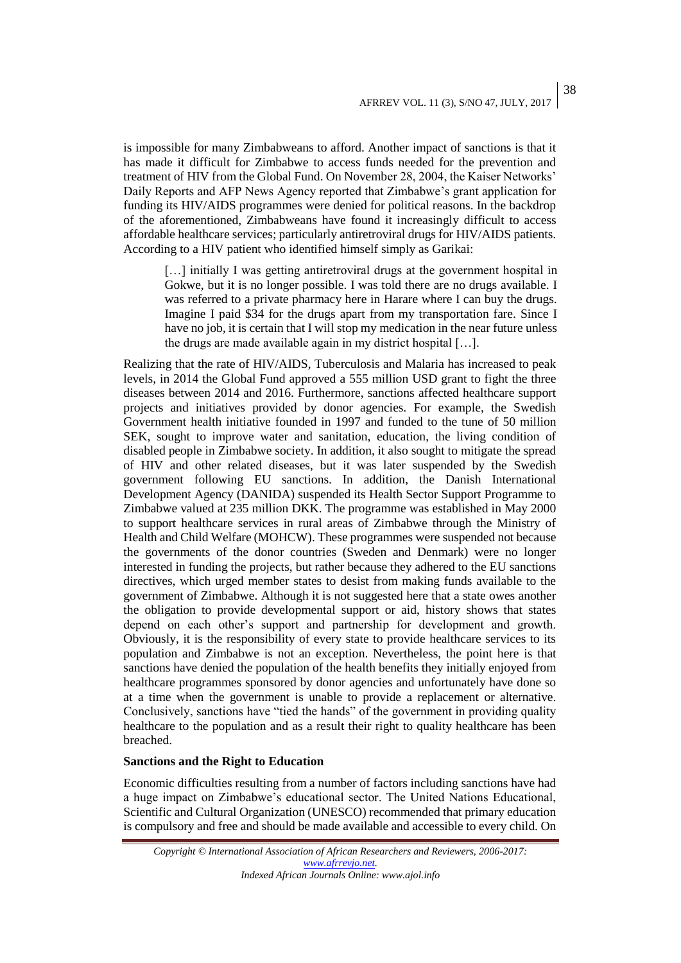is impossible for many Zimbabweans to afford. Another impact of sanctions is that it has made it difficult for Zimbabwe to access funds needed for the prevention and treatment of HIV from the Global Fund. On November 28, 2004, the Kaiser Networks' Daily Reports and AFP News Agency reported that Zimbabwe's grant application for funding its HIV/AIDS programmes were denied for political reasons. In the backdrop of the aforementioned, Zimbabweans have found it increasingly difficult to access affordable healthcare services; particularly antiretroviral drugs for HIV/AIDS patients. According to a HIV patient who identified himself simply as Garikai:

[...] initially I was getting antiretroviral drugs at the government hospital in Gokwe, but it is no longer possible. I was told there are no drugs available. I was referred to a private pharmacy here in Harare where I can buy the drugs. Imagine I paid \$34 for the drugs apart from my transportation fare. Since I have no job, it is certain that I will stop my medication in the near future unless the drugs are made available again in my district hospital […].

Realizing that the rate of HIV/AIDS, Tuberculosis and Malaria has increased to peak levels, in 2014 the Global Fund approved a 555 million USD grant to fight the three diseases between 2014 and 2016. Furthermore, sanctions affected healthcare support projects and initiatives provided by donor agencies. For example, the Swedish Government health initiative founded in 1997 and funded to the tune of 50 million SEK, sought to improve water and sanitation, education, the living condition of disabled people in Zimbabwe society. In addition, it also sought to mitigate the spread of HIV and other related diseases, but it was later suspended by the Swedish government following EU sanctions. In addition, the Danish International Development Agency (DANIDA) suspended its Health Sector Support Programme to Zimbabwe valued at 235 million DKK. The programme was established in May 2000 to support healthcare services in rural areas of Zimbabwe through the Ministry of Health and Child Welfare (MOHCW). These programmes were suspended not because the governments of the donor countries (Sweden and Denmark) were no longer interested in funding the projects, but rather because they adhered to the EU sanctions directives, which urged member states to desist from making funds available to the government of Zimbabwe. Although it is not suggested here that a state owes another the obligation to provide developmental support or aid, history shows that states depend on each other's support and partnership for development and growth. Obviously, it is the responsibility of every state to provide healthcare services to its population and Zimbabwe is not an exception. Nevertheless, the point here is that sanctions have denied the population of the health benefits they initially enjoyed from healthcare programmes sponsored by donor agencies and unfortunately have done so at a time when the government is unable to provide a replacement or alternative. Conclusively, sanctions have "tied the hands" of the government in providing quality healthcare to the population and as a result their right to quality healthcare has been breached.

## **Sanctions and the Right to Education**

Economic difficulties resulting from a number of factors including sanctions have had a huge impact on Zimbabwe's educational sector. The United Nations Educational, Scientific and Cultural Organization (UNESCO) recommended that primary education is compulsory and free and should be made available and accessible to every child. On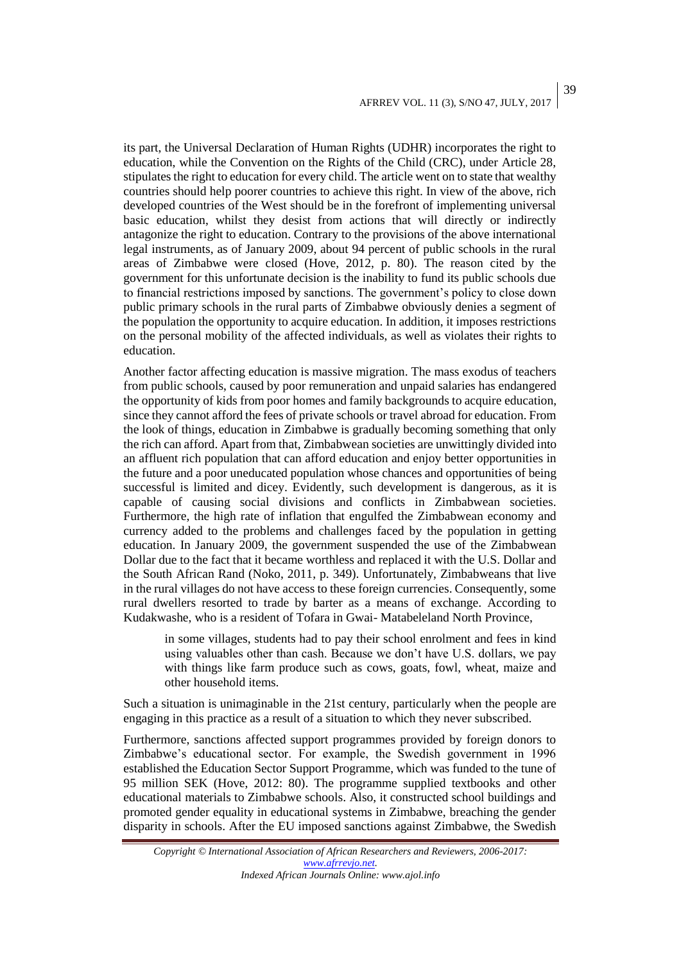## AFRREV VOL. 11 (3), S/NO 47, JULY, 2017

39

its part, the Universal Declaration of Human Rights (UDHR) incorporates the right to education, while the Convention on the Rights of the Child (CRC), under Article 28, stipulates the right to education for every child. The article went on to state that wealthy countries should help poorer countries to achieve this right. In view of the above, rich developed countries of the West should be in the forefront of implementing universal basic education, whilst they desist from actions that will directly or indirectly antagonize the right to education. Contrary to the provisions of the above international legal instruments, as of January 2009, about 94 percent of public schools in the rural areas of Zimbabwe were closed (Hove, 2012, p. 80). The reason cited by the government for this unfortunate decision is the inability to fund its public schools due to financial restrictions imposed by sanctions. The government's policy to close down public primary schools in the rural parts of Zimbabwe obviously denies a segment of the population the opportunity to acquire education. In addition, it imposes restrictions on the personal mobility of the affected individuals, as well as violates their rights to education.

Another factor affecting education is massive migration. The mass exodus of teachers from public schools, caused by poor remuneration and unpaid salaries has endangered the opportunity of kids from poor homes and family backgrounds to acquire education, since they cannot afford the fees of private schools or travel abroad for education. From the look of things, education in Zimbabwe is gradually becoming something that only the rich can afford. Apart from that, Zimbabwean societies are unwittingly divided into an affluent rich population that can afford education and enjoy better opportunities in the future and a poor uneducated population whose chances and opportunities of being successful is limited and dicey. Evidently, such development is dangerous, as it is capable of causing social divisions and conflicts in Zimbabwean societies. Furthermore, the high rate of inflation that engulfed the Zimbabwean economy and currency added to the problems and challenges faced by the population in getting education. In January 2009, the government suspended the use of the Zimbabwean Dollar due to the fact that it became worthless and replaced it with the U.S. Dollar and the South African Rand (Noko, 2011, p. 349). Unfortunately, Zimbabweans that live in the rural villages do not have access to these foreign currencies. Consequently, some rural dwellers resorted to trade by barter as a means of exchange. According to Kudakwashe, who is a resident of Tofara in Gwai- Matabeleland North Province,

in some villages, students had to pay their school enrolment and fees in kind using valuables other than cash. Because we don't have U.S. dollars, we pay with things like farm produce such as cows, goats, fowl, wheat, maize and other household items.

Such a situation is unimaginable in the 21st century, particularly when the people are engaging in this practice as a result of a situation to which they never subscribed.

Furthermore, sanctions affected support programmes provided by foreign donors to Zimbabwe's educational sector. For example, the Swedish government in 1996 established the Education Sector Support Programme, which was funded to the tune of 95 million SEK (Hove, 2012: 80). The programme supplied textbooks and other educational materials to Zimbabwe schools. Also, it constructed school buildings and promoted gender equality in educational systems in Zimbabwe, breaching the gender disparity in schools. After the EU imposed sanctions against Zimbabwe, the Swedish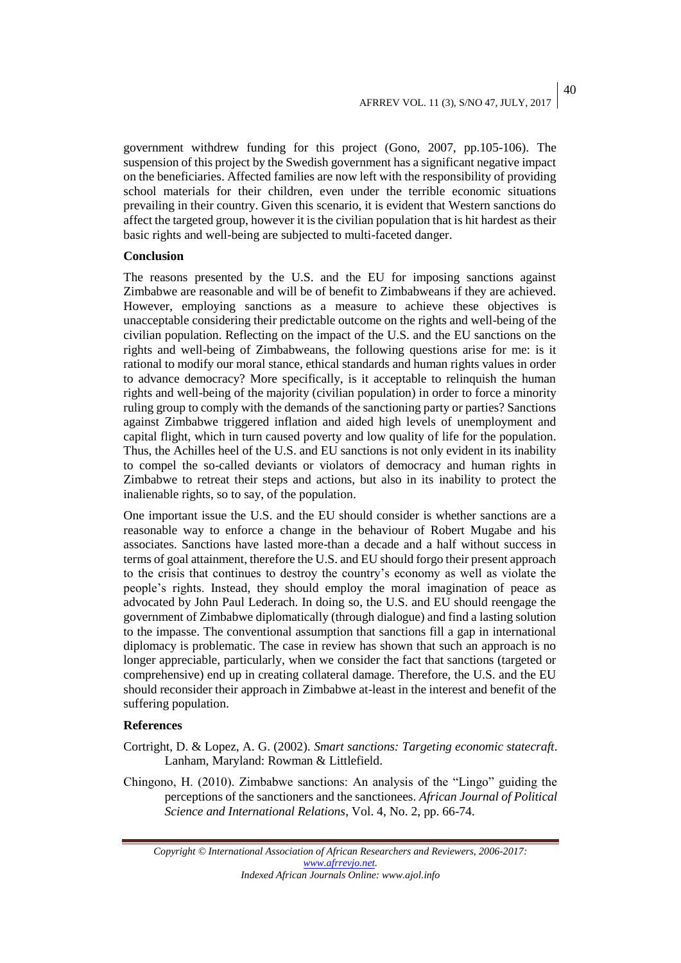40

government withdrew funding for this project (Gono, 2007, pp.105-106). The suspension of this project by the Swedish government has a significant negative impact on the beneficiaries. Affected families are now left with the responsibility of providing school materials for their children, even under the terrible economic situations prevailing in their country. Given this scenario, it is evident that Western sanctions do affect the targeted group, however it is the civilian population that is hit hardest as their basic rights and well-being are subjected to multi-faceted danger.

## **Conclusion**

The reasons presented by the U.S. and the EU for imposing sanctions against Zimbabwe are reasonable and will be of benefit to Zimbabweans if they are achieved. However, employing sanctions as a measure to achieve these objectives is unacceptable considering their predictable outcome on the rights and well-being of the civilian population. Reflecting on the impact of the U.S. and the EU sanctions on the rights and well-being of Zimbabweans, the following questions arise for me: is it rational to modify our moral stance, ethical standards and human rights values in order to advance democracy? More specifically, is it acceptable to relinquish the human rights and well-being of the majority (civilian population) in order to force a minority ruling group to comply with the demands of the sanctioning party or parties? Sanctions against Zimbabwe triggered inflation and aided high levels of unemployment and capital flight, which in turn caused poverty and low quality of life for the population. Thus, the Achilles heel of the U.S. and EU sanctions is not only evident in its inability to compel the so-called deviants or violators of democracy and human rights in Zimbabwe to retreat their steps and actions, but also in its inability to protect the inalienable rights, so to say, of the population.

One important issue the U.S. and the EU should consider is whether sanctions are a reasonable way to enforce a change in the behaviour of Robert Mugabe and his associates. Sanctions have lasted more-than a decade and a half without success in terms of goal attainment, therefore the U.S. and EU should forgo their present approach to the crisis that continues to destroy the country's economy as well as violate the people's rights. Instead, they should employ the moral imagination of peace as advocated by John Paul Lederach. In doing so, the U.S. and EU should reengage the government of Zimbabwe diplomatically (through dialogue) and find a lasting solution to the impasse. The conventional assumption that sanctions fill a gap in international diplomacy is problematic. The case in review has shown that such an approach is no longer appreciable, particularly, when we consider the fact that sanctions (targeted or comprehensive) end up in creating collateral damage. Therefore, the U.S. and the EU should reconsider their approach in Zimbabwe at-least in the interest and benefit of the suffering population.

### **References**

- Cortright, D. & Lopez, A. G. (2002). *Smart sanctions: Targeting economic statecraft*. Lanham, Maryland: Rowman & Littlefield.
- Chingono, H. (2010). Zimbabwe sanctions: An analysis of the "Lingo" guiding the perceptions of the sanctioners and the sanctionees. *African Journal of Political Science and International Relations*, Vol. 4, No. 2, pp. 66-74.

*Copyright © International Association of African Researchers and Reviewers, 2006-2017: [www.afrrevjo.net.](http://www.afrrevjo.net/) Indexed African Journals Online: www.ajol.info*